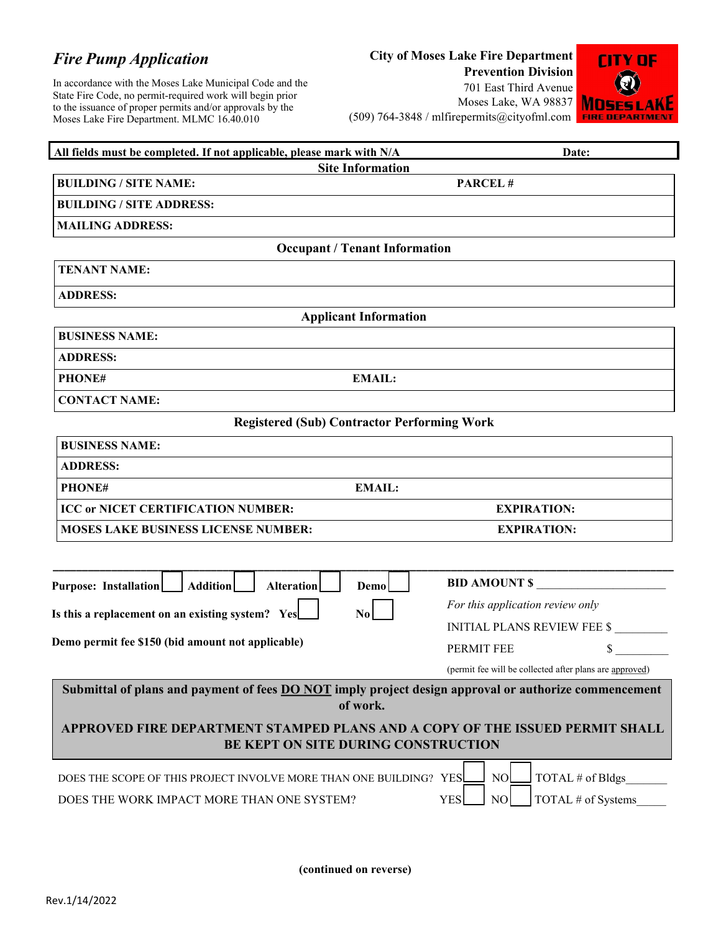## *Fire Pump Application*

In accordance with the Moses Lake Municipal Code and the State Fire Code, no permit-required work will begin prior to the issuance of proper permits and/or approvals by the Moses Lake Fire Department. MLMC 16.40.010

## **City of Moses Lake Fire Department**

**Prevention Division** 701 East Third Avenue Moses Lake, WA 98837 (509) 764-3848 / mlfirepermits@cityofml.com



| All fields must be completed. If not applicable, please mark with N/A                                               | Date:                                                   |  |  |  |  |  |
|---------------------------------------------------------------------------------------------------------------------|---------------------------------------------------------|--|--|--|--|--|
| <b>Site Information</b>                                                                                             |                                                         |  |  |  |  |  |
| <b>BUILDING / SITE NAME:</b>                                                                                        | <b>PARCEL#</b>                                          |  |  |  |  |  |
| <b>BUILDING / SITE ADDRESS:</b>                                                                                     |                                                         |  |  |  |  |  |
| <b>MAILING ADDRESS:</b>                                                                                             |                                                         |  |  |  |  |  |
| <b>Occupant / Tenant Information</b>                                                                                |                                                         |  |  |  |  |  |
| <b>TENANT NAME:</b>                                                                                                 |                                                         |  |  |  |  |  |
| <b>ADDRESS:</b>                                                                                                     |                                                         |  |  |  |  |  |
| <b>Applicant Information</b>                                                                                        |                                                         |  |  |  |  |  |
| <b>BUSINESS NAME:</b>                                                                                               |                                                         |  |  |  |  |  |
| <b>ADDRESS:</b>                                                                                                     |                                                         |  |  |  |  |  |
| <b>EMAIL:</b><br>PHONE#                                                                                             |                                                         |  |  |  |  |  |
| <b>CONTACT NAME:</b>                                                                                                |                                                         |  |  |  |  |  |
| <b>Registered (Sub) Contractor Performing Work</b>                                                                  |                                                         |  |  |  |  |  |
| <b>BUSINESS NAME:</b>                                                                                               |                                                         |  |  |  |  |  |
| <b>ADDRESS:</b>                                                                                                     |                                                         |  |  |  |  |  |
| PHONE#<br><b>EMAIL:</b>                                                                                             |                                                         |  |  |  |  |  |
| <b>ICC or NICET CERTIFICATION NUMBER:</b>                                                                           | <b>EXPIRATION:</b>                                      |  |  |  |  |  |
| <b>MOSES LAKE BUSINESS LICENSE NUMBER:</b>                                                                          | <b>EXPIRATION:</b>                                      |  |  |  |  |  |
|                                                                                                                     |                                                         |  |  |  |  |  |
|                                                                                                                     |                                                         |  |  |  |  |  |
| <b>Addition</b><br>Purpose: Installation<br><b>Alteration</b><br>Demo                                               | <b>BID AMOUNT \$</b>                                    |  |  |  |  |  |
| Is this a replacement on an existing system? Yes<br>N <sub>0</sub>                                                  | For this application review only                        |  |  |  |  |  |
| Demo permit fee \$150 (bid amount not applicable)                                                                   | <b>INITIAL PLANS REVIEW FEE \$</b>                      |  |  |  |  |  |
|                                                                                                                     | \$<br>PERMIT FEE                                        |  |  |  |  |  |
|                                                                                                                     | (permit fee will be collected after plans are approved) |  |  |  |  |  |
| Submittal of plans and payment of fees DO NOT imply project design approval or authorize commencement<br>of work.   |                                                         |  |  |  |  |  |
|                                                                                                                     |                                                         |  |  |  |  |  |
| APPROVED FIRE DEPARTMENT STAMPED PLANS AND A COPY OF THE ISSUED PERMIT SHALL<br>BE KEPT ON SITE DURING CONSTRUCTION |                                                         |  |  |  |  |  |
| DOES THE SCOPE OF THIS PROJECT INVOLVE MORE THAN ONE BUILDING? YES                                                  | NO.<br>TOTAL # of Bldgs                                 |  |  |  |  |  |
|                                                                                                                     |                                                         |  |  |  |  |  |

**(continued on reverse)**